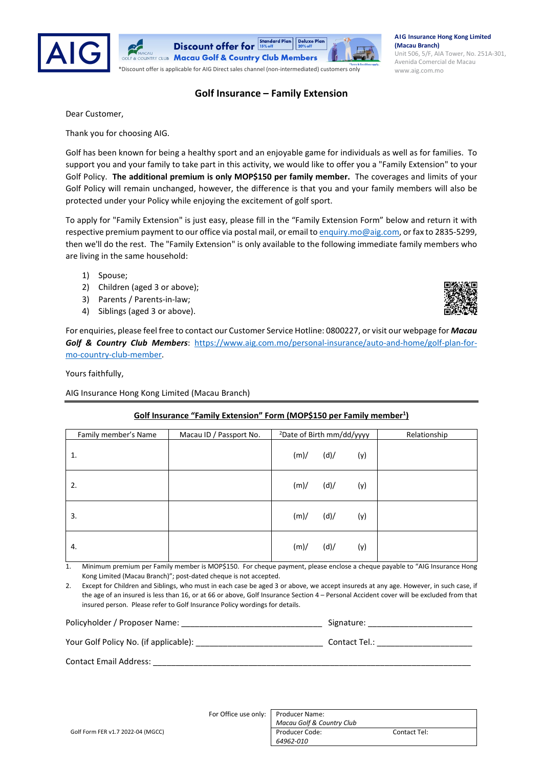





### **Golf Insurance – Family Extension**

Dear Customer,

Thank you for choosing AIG.

Golf has been known for being a healthy sport and an enjoyable game for individuals as well as for families. To support you and your family to take part in this activity, we would like to offer you a "Family Extension" to your Golf Policy. **The additional premium is only MOP\$150 per family member.** The coverages and limits of your Golf Policy will remain unchanged, however, the difference is that you and your family members will also be protected under your Policy while enjoying the excitement of golf sport.

To apply for "Family Extension" is just easy, please fill in the "Family Extension Form" below and return it with respective premium payment to our office via postal mail, or email to [enquiry.mo@aig.com,](mailto:enquiry.mo@aig.com) or fax to 2835-5299, then we'll do the rest. The "Family Extension" is only available to the following immediate family members who are living in the same household:

- 1) Spouse;
- 2) Children (aged 3 or above);
- 3) Parents / Parents-in-law;
- 4) Siblings (aged 3 or above).

For enquiries, please feel free to contact our Customer Service Hotline: 0800227, or visit our webpage for *Macau Golf & Country Club Members*: [https://www.aig.com.mo/personal-insurance/auto-and-home/golf-plan-for](https://www.aig.com.mo/personal-insurance/auto-and-home/golf-plan-for-mo-country-club-member)[mo-country-club-member.](https://www.aig.com.mo/personal-insurance/auto-and-home/golf-plan-for-mo-country-club-member)

Yours faithfully,

AIG Insurance Hong Kong Limited (Macau Branch)

| Family member's Name | Macau ID / Passport No. | <sup>2</sup> Date of Birth mm/dd/yyyy |      |     | Relationship |
|----------------------|-------------------------|---------------------------------------|------|-----|--------------|
| 1.                   |                         | (m)/                                  | (d)/ | (y) |              |
| 2.                   |                         | (m)/                                  | (d)/ | (y) |              |
| 3.                   |                         | (m)/                                  | (d)/ | (y) |              |
| 4.                   |                         | (m)/                                  | (d)/ | (y) |              |

### **Golf Insurance "Family Extension" Form (MOP\$150 per Family member1 )**

1. Minimum premium per Family member is MOP\$150. For cheque payment, please enclose a cheque payable to "AIG Insurance Hong Kong Limited (Macau Branch)"; post-dated cheque is not accepted.

2. Except for Children and Siblings, who must in each case be aged 3 or above, we accept insureds at any age. However, in such case, if the age of an insured is less than 16, or at 66 or above, Golf Insurance Section 4 – Personal Accident cover will be excluded from that insured person. Please refer to Golf Insurance Policy wordings for details.

| Policyholder / Proposer Name:         | Signature:    |
|---------------------------------------|---------------|
|                                       |               |
| Your Golf Policy No. (if applicable): | Contact Tel.: |
|                                       |               |
| <b>Contact Email Address:</b>         |               |

|                                   | For Office use only:   Producer Name: | Macau Golf & Country Club   |              |  |  |
|-----------------------------------|---------------------------------------|-----------------------------|--------------|--|--|
| Golf Form FER v1.7 2022-04 (MGCC) |                                       | Producer Code:<br>64962-010 | Contact Tel: |  |  |